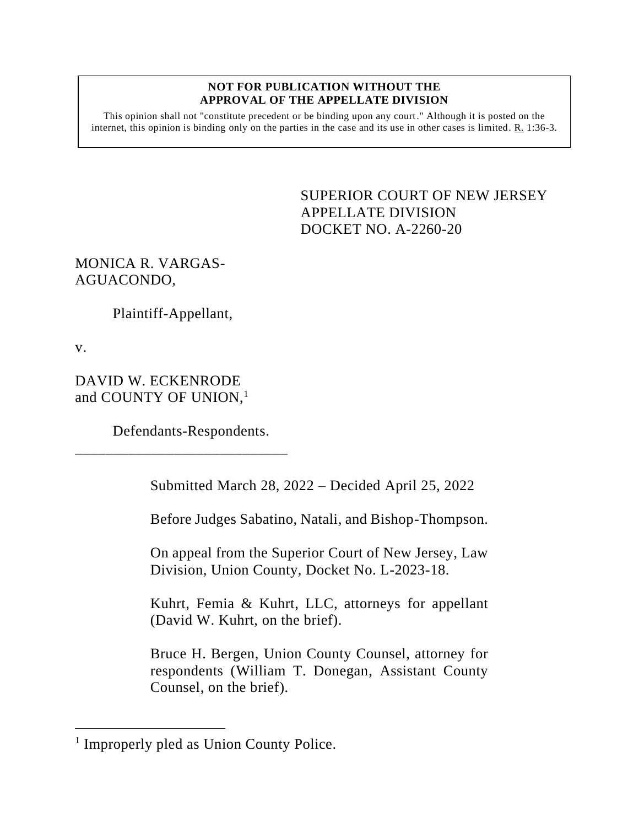## **NOT FOR PUBLICATION WITHOUT THE APPROVAL OF THE APPELLATE DIVISION**

This opinion shall not "constitute precedent or be binding upon any court." Although it is posted on the internet, this opinion is binding only on the parties in the case and its use in other cases is limited. R. 1:36-3.

> SUPERIOR COURT OF NEW JERSEY APPELLATE DIVISION DOCKET NO. A-2260-20

## MONICA R. VARGAS-AGUACONDO,

Plaintiff-Appellant,

v.

DAVID W. ECKENRODE and COUNTY OF UNION,<sup>1</sup>

Defendants-Respondents.

\_\_\_\_\_\_\_\_\_\_\_\_\_\_\_\_\_\_\_\_\_\_\_\_\_\_\_\_

Submitted March 28, 2022 – Decided April 25, 2022

Before Judges Sabatino, Natali, and Bishop-Thompson.

On appeal from the Superior Court of New Jersey, Law Division, Union County, Docket No. L-2023-18.

Kuhrt, Femia & Kuhrt, LLC, attorneys for appellant (David W. Kuhrt, on the brief).

Bruce H. Bergen, Union County Counsel, attorney for respondents (William T. Donegan, Assistant County Counsel, on the brief).

<sup>&</sup>lt;sup>1</sup> Improperly pled as Union County Police.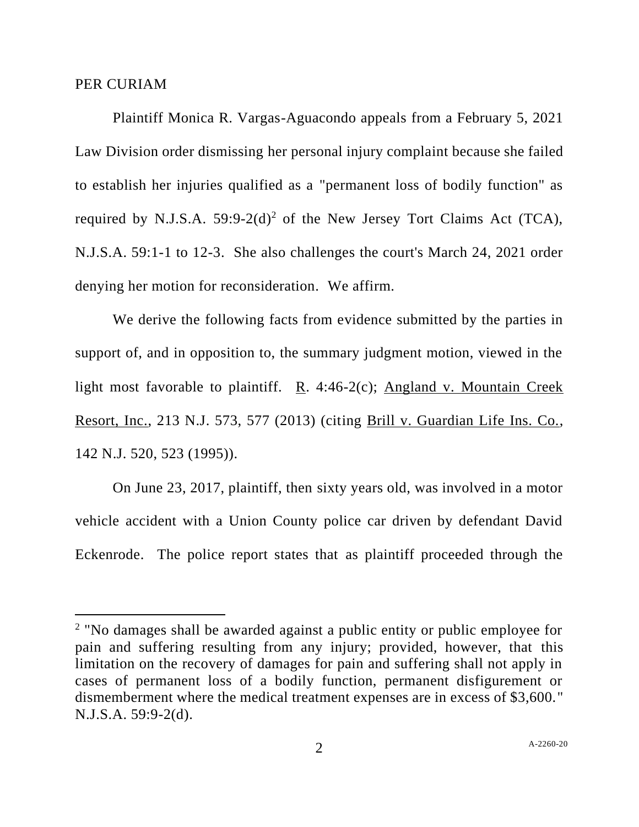## PER CURIAM

Plaintiff Monica R. Vargas-Aguacondo appeals from a February 5, 2021 Law Division order dismissing her personal injury complaint because she failed to establish her injuries qualified as a "permanent loss of bodily function" as required by N.J.S.A.  $59:9-2(d)^2$  of the New Jersey Tort Claims Act (TCA), N.J.S.A. 59:1-1 to 12-3. She also challenges the court's March 24, 2021 order denying her motion for reconsideration. We affirm.

We derive the following facts from evidence submitted by the parties in support of, and in opposition to, the summary judgment motion, viewed in the light most favorable to plaintiff. R. 4:46-2(c); Angland v. Mountain Creek Resort, Inc., 213 N.J. 573, 577 (2013) (citing Brill v. Guardian Life Ins. Co., 142 N.J. 520, 523 (1995)).

On June 23, 2017, plaintiff, then sixty years old, was involved in a motor vehicle accident with a Union County police car driven by defendant David Eckenrode. The police report states that as plaintiff proceeded through the

<sup>&</sup>lt;sup>2</sup> "No damages shall be awarded against a public entity or public employee for pain and suffering resulting from any injury; provided, however, that this limitation on the recovery of damages for pain and suffering shall not apply in cases of permanent loss of a bodily function, permanent disfigurement or dismemberment where the medical treatment expenses are in excess of \$3,600." N.J.S.A. 59:9-2(d).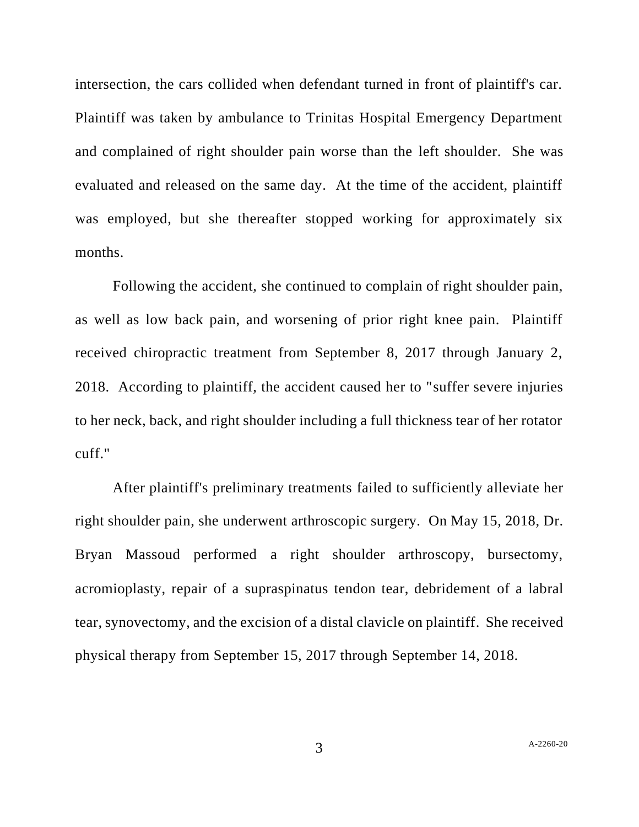intersection, the cars collided when defendant turned in front of plaintiff's car. Plaintiff was taken by ambulance to Trinitas Hospital Emergency Department and complained of right shoulder pain worse than the left shoulder. She was evaluated and released on the same day. At the time of the accident, plaintiff was employed, but she thereafter stopped working for approximately six months.

Following the accident, she continued to complain of right shoulder pain, as well as low back pain, and worsening of prior right knee pain. Plaintiff received chiropractic treatment from September 8, 2017 through January 2, 2018. According to plaintiff, the accident caused her to "suffer severe injuries to her neck, back, and right shoulder including a full thickness tear of her rotator cuff."

After plaintiff's preliminary treatments failed to sufficiently alleviate her right shoulder pain, she underwent arthroscopic surgery. On May 15, 2018, Dr. Bryan Massoud performed a right shoulder arthroscopy, bursectomy, acromioplasty, repair of a supraspinatus tendon tear, debridement of a labral tear, synovectomy, and the excision of a distal clavicle on plaintiff. She received physical therapy from September 15, 2017 through September 14, 2018.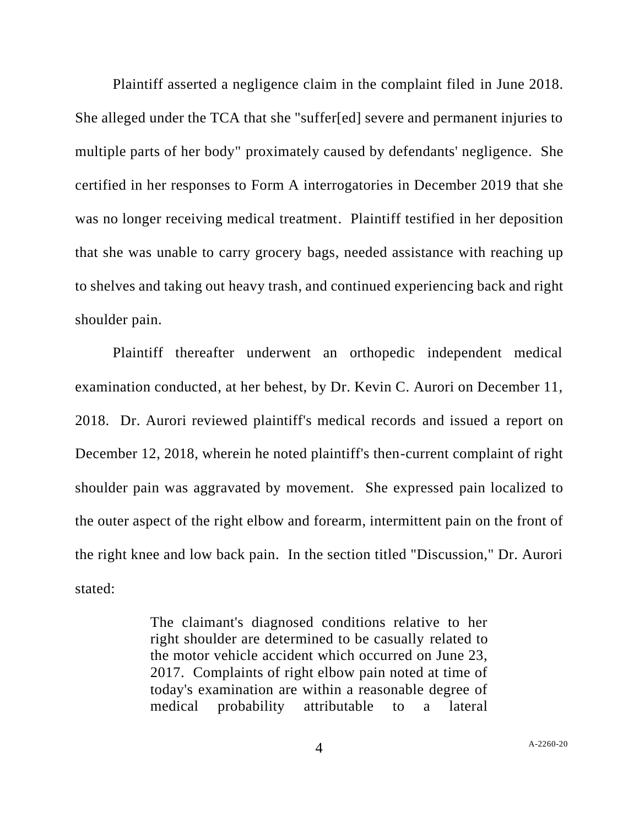Plaintiff asserted a negligence claim in the complaint filed in June 2018. She alleged under the TCA that she "suffer[ed] severe and permanent injuries to multiple parts of her body" proximately caused by defendants' negligence. She certified in her responses to Form A interrogatories in December 2019 that she was no longer receiving medical treatment. Plaintiff testified in her deposition that she was unable to carry grocery bags, needed assistance with reaching up to shelves and taking out heavy trash, and continued experiencing back and right shoulder pain.

Plaintiff thereafter underwent an orthopedic independent medical examination conducted, at her behest, by Dr. Kevin C. Aurori on December 11, 2018. Dr. Aurori reviewed plaintiff's medical records and issued a report on December 12, 2018, wherein he noted plaintiff's then-current complaint of right shoulder pain was aggravated by movement. She expressed pain localized to the outer aspect of the right elbow and forearm, intermittent pain on the front of the right knee and low back pain. In the section titled "Discussion," Dr. Aurori stated:

> The claimant's diagnosed conditions relative to her right shoulder are determined to be casually related to the motor vehicle accident which occurred on June 23, 2017. Complaints of right elbow pain noted at time of today's examination are within a reasonable degree of medical probability attributable to a lateral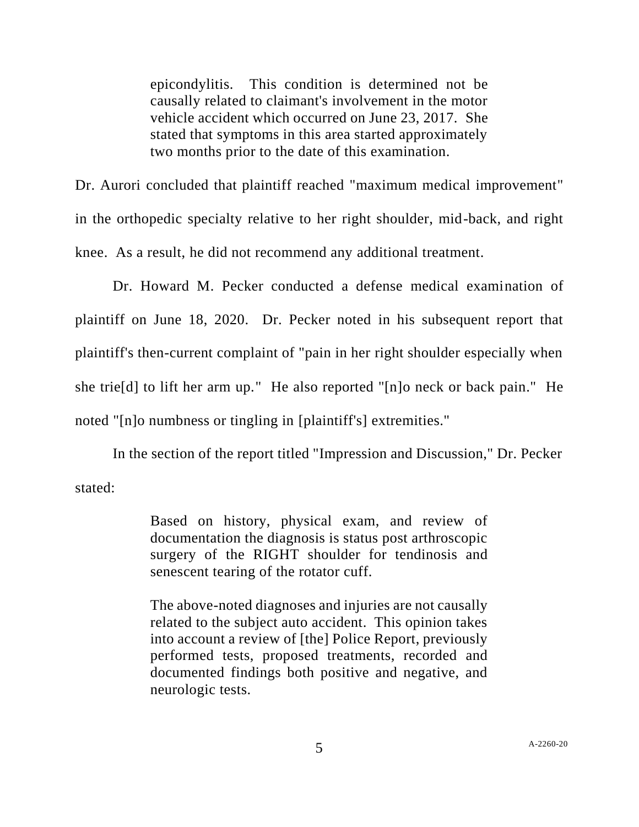epicondylitis. This condition is determined not be causally related to claimant's involvement in the motor vehicle accident which occurred on June 23, 2017. She stated that symptoms in this area started approximately two months prior to the date of this examination.

Dr. Aurori concluded that plaintiff reached "maximum medical improvement" in the orthopedic specialty relative to her right shoulder, mid-back, and right knee. As a result, he did not recommend any additional treatment.

Dr. Howard M. Pecker conducted a defense medical examination of plaintiff on June 18, 2020. Dr. Pecker noted in his subsequent report that plaintiff's then-current complaint of "pain in her right shoulder especially when she trie[d] to lift her arm up." He also reported "[n]o neck or back pain." He noted "[n]o numbness or tingling in [plaintiff's] extremities."

In the section of the report titled "Impression and Discussion," Dr. Pecker stated:

> Based on history, physical exam, and review of documentation the diagnosis is status post arthroscopic surgery of the RIGHT shoulder for tendinosis and senescent tearing of the rotator cuff.

> The above-noted diagnoses and injuries are not causally related to the subject auto accident. This opinion takes into account a review of [the] Police Report, previously performed tests, proposed treatments, recorded and documented findings both positive and negative, and neurologic tests.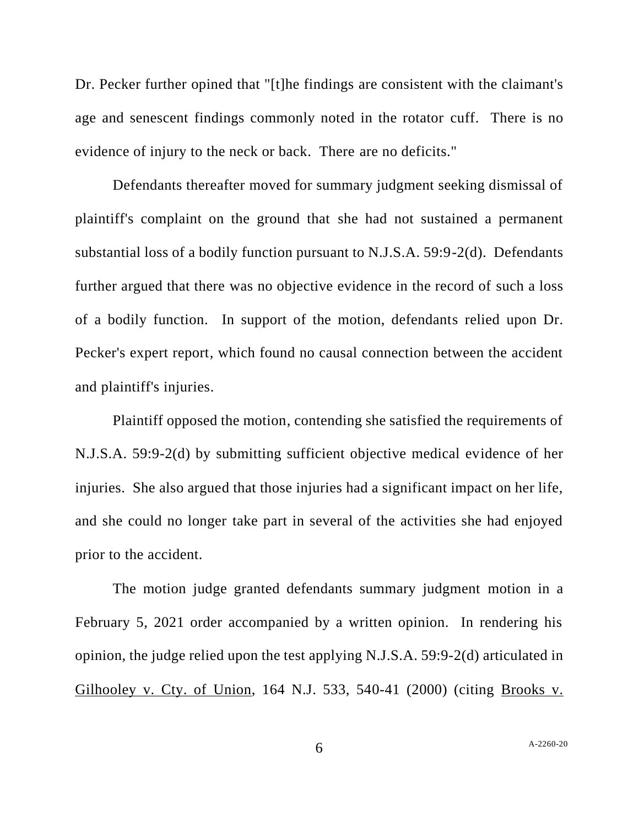Dr. Pecker further opined that "[t]he findings are consistent with the claimant's age and senescent findings commonly noted in the rotator cuff. There is no evidence of injury to the neck or back. There are no deficits."

Defendants thereafter moved for summary judgment seeking dismissal of plaintiff's complaint on the ground that she had not sustained a permanent substantial loss of a bodily function pursuant to N.J.S.A. 59:9-2(d). Defendants further argued that there was no objective evidence in the record of such a loss of a bodily function. In support of the motion, defendants relied upon Dr. Pecker's expert report, which found no causal connection between the accident and plaintiff's injuries.

Plaintiff opposed the motion, contending she satisfied the requirements of N.J.S.A. 59:9-2(d) by submitting sufficient objective medical evidence of her injuries. She also argued that those injuries had a significant impact on her life, and she could no longer take part in several of the activities she had enjoyed prior to the accident.

The motion judge granted defendants summary judgment motion in a February 5, 2021 order accompanied by a written opinion. In rendering his opinion, the judge relied upon the test applying N.J.S.A. 59:9-2(d) articulated in Gilhooley v. Cty. of Union, 164 N.J. 533, 540-41 (2000) (citing Brooks v.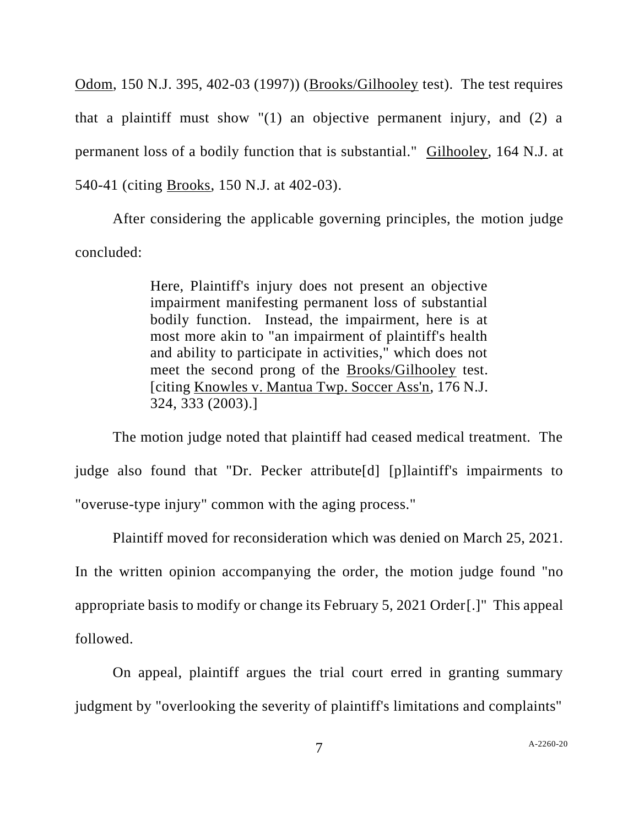Odom, 150 N.J. 395, 402-03 (1997)) (Brooks/Gilhooley test). The test requires that a plaintiff must show "(1) an objective permanent injury, and (2) a permanent loss of a bodily function that is substantial." Gilhooley, 164 N.J. at 540-41 (citing Brooks, 150 N.J. at 402-03).

After considering the applicable governing principles, the motion judge concluded:

> Here, Plaintiff's injury does not present an objective impairment manifesting permanent loss of substantial bodily function. Instead, the impairment, here is at most more akin to "an impairment of plaintiff's health and ability to participate in activities," which does not meet the second prong of the Brooks/Gilhooley test. [citing Knowles v. Mantua Twp. Soccer Ass'n, 176 N.J. 324, 333 (2003).]

The motion judge noted that plaintiff had ceased medical treatment. The judge also found that "Dr. Pecker attribute[d] [p]laintiff's impairments to "overuse-type injury" common with the aging process."

Plaintiff moved for reconsideration which was denied on March 25, 2021. In the written opinion accompanying the order, the motion judge found "no appropriate basis to modify or change its February 5, 2021 Order[.]" This appeal followed.

On appeal, plaintiff argues the trial court erred in granting summary judgment by "overlooking the severity of plaintiff's limitations and complaints"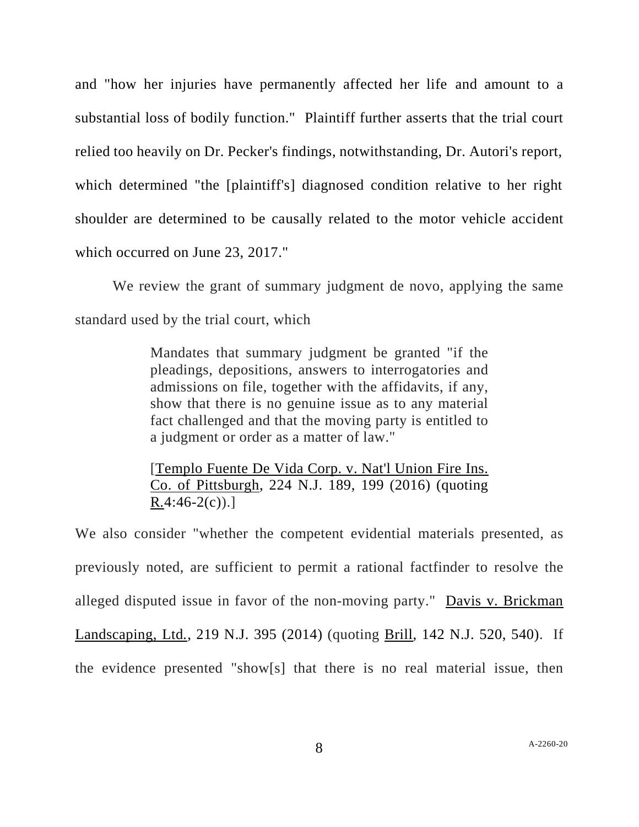and "how her injuries have permanently affected her life and amount to a substantial loss of bodily function." Plaintiff further asserts that the trial court relied too heavily on Dr. Pecker's findings, notwithstanding, Dr. Autori's report, which determined "the [plaintiff's] diagnosed condition relative to her right shoulder are determined to be causally related to the motor vehicle accident which occurred on June 23, 2017."

We review the grant of summary judgment de novo, applying the same standard used by the trial court, which

> Mandates that summary judgment be granted "if the pleadings, depositions, answers to interrogatories and admissions on file, together with the affidavits, if any, show that there is no genuine issue as to any material fact challenged and that the moving party is entitled to a judgment or order as a matter of law."

> [Templo Fuente De Vida Corp. v. Nat'l Union Fire Ins. Co. of Pittsburgh, 224 N.J. 189, 199 (2016) (quoting  $R.4:46-2(c)$ .]

We also consider "whether the competent evidential materials presented, as previously noted, are sufficient to permit a rational factfinder to resolve the alleged disputed issue in favor of the non-moving party." Davis v. Brickman Landscaping, Ltd*.*, 219 N.J. 395 (2014) (quoting Brill, 142 N.J. 520, 540). If the evidence presented "show[s] that there is no real material issue, then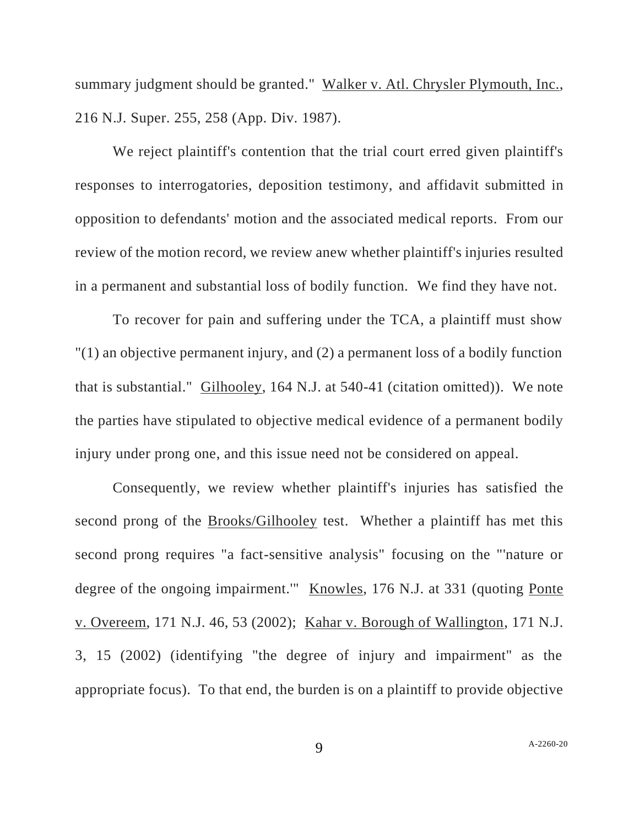summary judgment should be granted." Walker v. Atl. Chrysler Plymouth, Inc., 216 N.J. Super. 255, 258 (App. Div. 1987).

We reject plaintiff's contention that the trial court erred given plaintiff's responses to interrogatories, deposition testimony, and affidavit submitted in opposition to defendants' motion and the associated medical reports. From our review of the motion record, we review anew whether plaintiff's injuries resulted in a permanent and substantial loss of bodily function. We find they have not.

To recover for pain and suffering under the TCA, a plaintiff must show "(1) an objective permanent injury, and (2) a permanent loss of a bodily function that is substantial." Gilhooley, 164 N.J. at 540-41 (citation omitted)). We note the parties have stipulated to objective medical evidence of a permanent bodily injury under prong one, and this issue need not be considered on appeal.

Consequently, we review whether plaintiff's injuries has satisfied the second prong of the Brooks/Gilhooley test. Whether a plaintiff has met this second prong requires "a fact-sensitive analysis" focusing on the "'nature or degree of the ongoing impairment." Knowles, 176 N.J. at 331 (quoting Ponte v. Overeem, 171 N.J. 46, 53 (2002); Kahar v. Borough of Wallington, 171 N.J. 3, 15 (2002) (identifying "the degree of injury and impairment" as the appropriate focus). To that end, the burden is on a plaintiff to provide objective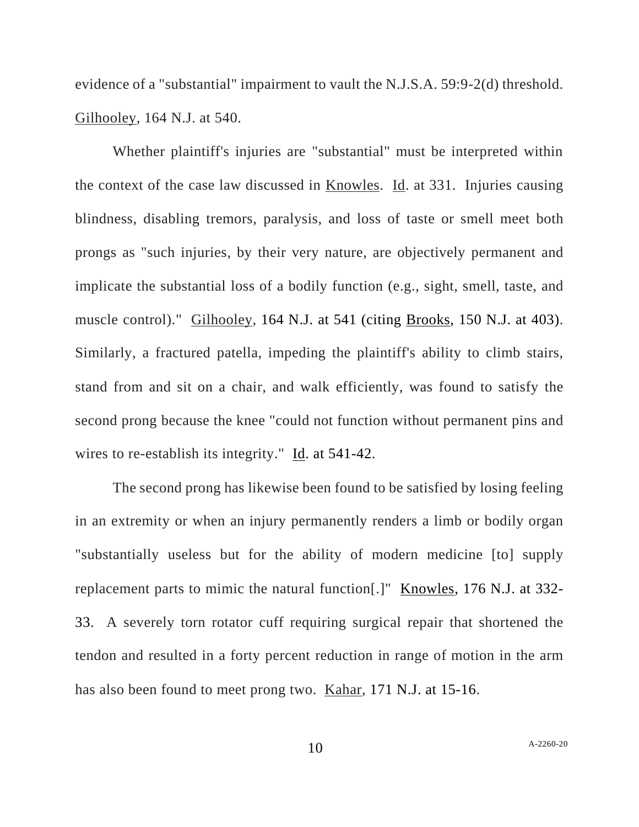evidence of a "substantial" impairment to vault the N.J.S.A. 59:9-2(d) threshold. Gilhooley, 164 N.J. at 540.

Whether plaintiff's injuries are "substantial" must be interpreted within the context of the case law discussed in Knowles. Id. at 331. Injuries causing blindness, disabling tremors, paralysis, and loss of taste or smell meet both prongs as "such injuries, by their very nature, are objectively permanent and implicate the substantial loss of a bodily function (e.g., sight, smell, taste, and muscle control)." Gilhooley, 164 N.J. at 541 (citing Brooks, 150 N.J. at 403). Similarly, a fractured patella, impeding the plaintiff's ability to climb stairs, stand from and sit on a chair, and walk efficiently, was found to satisfy the second prong because the knee "could not function without permanent pins and wires to re-establish its integrity." Id. at 541-42.

The second prong has likewise been found to be satisfied by losing feeling in an extremity or when an injury permanently renders a limb or bodily organ "substantially useless but for the ability of modern medicine [to] supply replacement parts to mimic the natural function[.]" Knowles, 176 N.J. at 332- 33. A severely torn rotator cuff requiring surgical repair that shortened the tendon and resulted in a forty percent reduction in range of motion in the arm has also been found to meet prong two. Kahar, 171 N.J. at 15-16.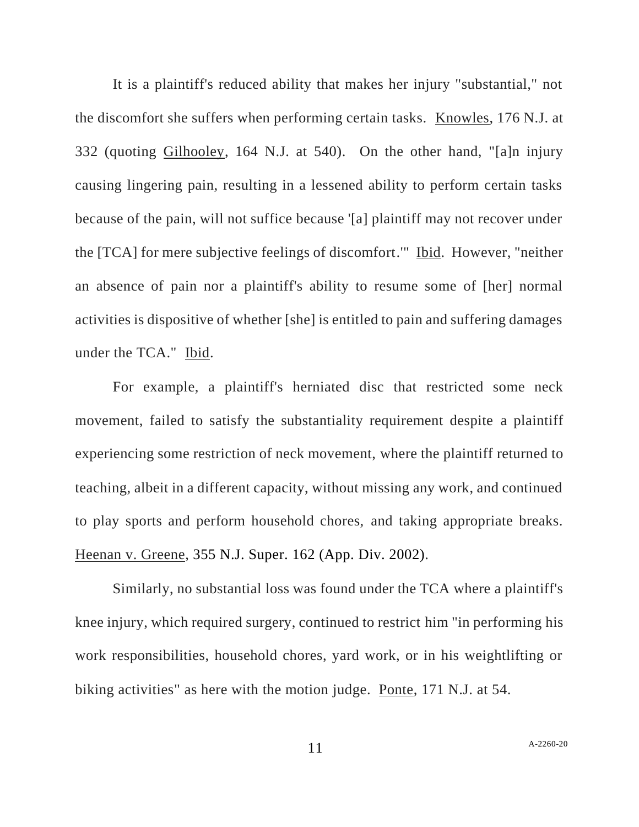It is a plaintiff's reduced ability that makes her injury "substantial," not the discomfort she suffers when performing certain tasks. Knowles, 176 N.J. at 332 (quoting Gilhooley, 164 N.J. at 540). On the other hand, "[a]n injury causing lingering pain, resulting in a lessened ability to perform certain tasks because of the pain, will not suffice because '[a] plaintiff may not recover under the [TCA] for mere subjective feelings of discomfort.'" Ibid. However, "neither an absence of pain nor a plaintiff's ability to resume some of [her] normal activities is dispositive of whether [she] is entitled to pain and suffering damages under the TCA." Ibid.

For example, a plaintiff's herniated disc that restricted some neck movement, failed to satisfy the substantiality requirement despite a plaintiff experiencing some restriction of neck movement, where the plaintiff returned to teaching, albeit in a different capacity, without missing any work, and continued to play sports and perform household chores, and taking appropriate breaks. Heenan v. Greene, 355 N.J. Super. 162 (App. Div. 2002).

Similarly, no substantial loss was found under the TCA where a plaintiff's knee injury, which required surgery, continued to restrict him "in performing his work responsibilities, household chores, yard work, or in his weightlifting or biking activities" as here with the motion judge. Ponte, 171 N.J. at 54.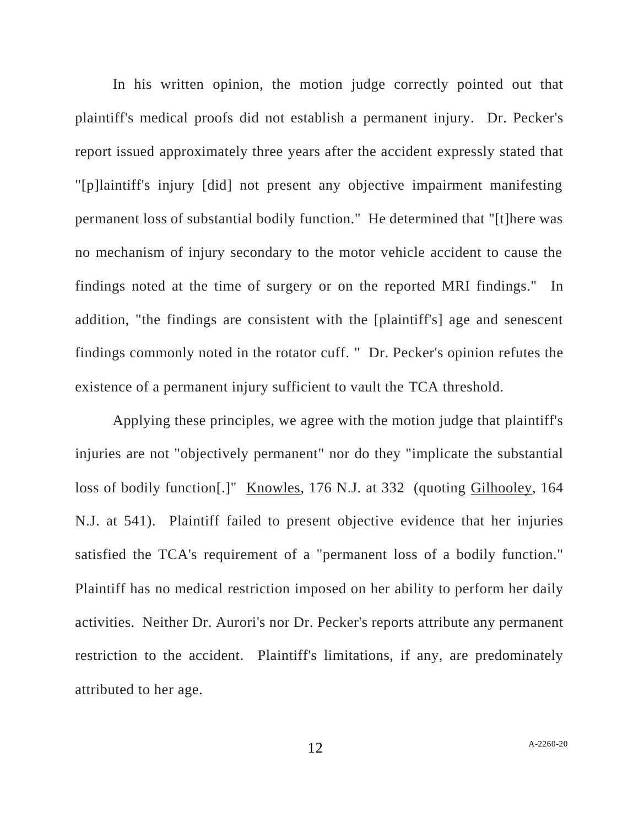In his written opinion, the motion judge correctly pointed out that plaintiff's medical proofs did not establish a permanent injury. Dr. Pecker's report issued approximately three years after the accident expressly stated that "[p]laintiff's injury [did] not present any objective impairment manifesting permanent loss of substantial bodily function." He determined that "[t]here was no mechanism of injury secondary to the motor vehicle accident to cause the findings noted at the time of surgery or on the reported MRI findings." In addition, "the findings are consistent with the [plaintiff's] age and senescent findings commonly noted in the rotator cuff. " Dr. Pecker's opinion refutes the existence of a permanent injury sufficient to vault the TCA threshold.

Applying these principles, we agree with the motion judge that plaintiff's injuries are not "objectively permanent" nor do they "implicate the substantial loss of bodily function[.]" Knowles, 176 N.J. at 332 (quoting Gilhooley, 164 N.J. at 541). Plaintiff failed to present objective evidence that her injuries satisfied the TCA's requirement of a "permanent loss of a bodily function." Plaintiff has no medical restriction imposed on her ability to perform her daily activities. Neither Dr. Aurori's nor Dr. Pecker's reports attribute any permanent restriction to the accident. Plaintiff's limitations, if any, are predominately attributed to her age.